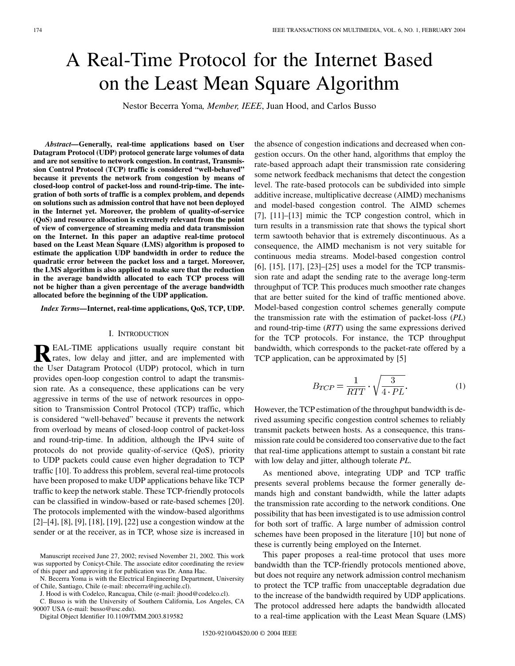# A Real-Time Protocol for the Internet Based on the Least Mean Square Algorithm

Nestor Becerra Yoma*, Member, IEEE*, Juan Hood, and Carlos Busso

*Abstract—***Generally, real-time applications based on User Datagram Protocol (UDP) protocol generate large volumes of data and are not sensitive to network congestion. In contrast, Transmission Control Protocol (TCP) traffic is considered "well-behaved" because it prevents the network from congestion by means of closed-loop control of packet-loss and round-trip-time. The integration of both sorts of traffic is a complex problem, and depends on solutions such as admission control that have not been deployed in the Internet yet. Moreover, the problem of quality-of-service (QoS) and resource allocation is extremely relevant from the point of view of convergence of streaming media and data transmission on the Internet. In this paper an adaptive real-time protocol based on the Least Mean Square (LMS) algorithm is proposed to estimate the application UDP bandwidth in order to reduce the quadratic error between the packet loss and a target. Moreover, the LMS algorithm is also applied to make sure that the reduction in the average bandwidth allocated to each TCP process will not be higher than a given percentage of the average bandwidth allocated before the beginning of the UDP application.**

*Index Terms—***Internet, real-time applications, QoS, TCP, UDP.**

# I. INTRODUCTION

**REAL-TIME** applications usually require constant bit<br>rates, low delay and jitter, and are implemented with<br>the User Determine Distance (UDD) protected which in turn the User Datagram Protocol (UDP) protocol, which in turn provides open-loop congestion control to adapt the transmission rate. As a consequence, these applications can be very aggressive in terms of the use of network resources in opposition to Transmission Control Protocol (TCP) traffic, which is considered "well-behaved" because it prevents the network from overload by means of closed-loop control of packet-loss and round-trip-time. In addition, although the IPv4 suite of protocols do not provide quality-of-service (QoS), priority to UDP packets could cause even higher degradation to TCP traffic [[10\]](#page-9-0). To address this problem, several real-time protocols have been proposed to make UDP applications behave like TCP traffic to keep the network stable. These TCP-friendly protocols can be classified in window-based or rate-based schemes [[20\]](#page-9-0). The protocols implemented with the window-based algorithms [[2\]](#page-9-0)–[[4](#page-9-0)], [[8\]](#page-9-0), [\[9](#page-9-0)], [[18\]](#page-9-0), [\[19](#page-9-0)], [[22](#page-10-0)] use a congestion window at the sender or at the receiver, as in TCP, whose size is increased in

N. Becerra Yoma is with the Electrical Engineering Department, University of Chile, Santiago, Chile (e-mail: nbecerra@ing.uchile.cl).

J. Hood is with Codelco, Rancagua, Chile (e-mail: jhood@codelco.cl).

C. Busso is with the University of Southern California, Los Angeles, CA 90007 USA (e-mail: busso@usc.edu).

Digital Object Identifier 10.1109/TMM.2003.819582

the absence of congestion indications and decreased when congestion occurs. On the other hand, algorithms that employ the rate-based approach adapt their transmission rate considering some network feedback mechanisms that detect the congestion level. The rate-based protocols can be subdivided into simple additive increase, multiplicative decrease (AIMD) mechanisms and model-based congestion control. The AIMD schemes [[7\]](#page-9-0), [[11\]](#page-9-0)–[\[13](#page-9-0)] mimic the TCP congestion control, which in turn results in a transmission rate that shows the typical short term sawtooth behavior that is extremely discontinuous. As a consequence, the AIMD mechanism is not very suitable for continuous media streams. Model-based congestion control [[6\]](#page-9-0), [[15\]](#page-9-0), [\[17](#page-9-0)], [[23\]](#page-10-0)–[\[25](#page-10-0)] uses a model for the TCP transmission rate and adapt the sending rate to the average long-term throughput of TCP. This produces much smoother rate changes that are better suited for the kind of traffic mentioned above. Model-based congestion control schemes generally compute the transmission rate with the estimation of packet-loss (*PL*) and round-trip-time (*RTT*) using the same expressions derived for the TCP protocols. For instance, the TCP throughput bandwidth, which corresponds to the packet-rate offered by a TCP application, can be approximated by [[5\]](#page-9-0)

$$
B_{TCP} = \frac{1}{RTT} \cdot \sqrt{\frac{3}{4 \cdot PL}}.
$$
 (1)

However, the TCP estimation of the throughput bandwidth is derived assuming specific congestion control schemes to reliably transmit packets between hosts. As a consequence, this transmission rate could be considered too conservative due to the fact that real-time applications attempt to sustain a constant bit rate with low delay and jitter, although tolerate *PL*.

As mentioned above, integrating UDP and TCP traffic presents several problems because the former generally demands high and constant bandwidth, while the latter adapts the transmission rate according to the network conditions. One possibility that has been investigated is to use admission control for both sort of traffic. A large number of admission control schemes have been proposed in the literature [[10\]](#page-9-0) but none of these is currently being employed on the Internet.

This paper proposes a real-time protocol that uses more bandwidth than the TCP-friendly protocols mentioned above, but does not require any network admission control mechanism to protect the TCP traffic from unacceptable degradation due to the increase of the bandwidth required by UDP applications. The protocol addressed here adapts the bandwidth allocated to a real-time application with the Least Mean Square (LMS)

Manuscript received June 27, 2002; revised November 21, 2002. This work was supported by Conicyt-Chile. The associate editor coordinating the review of this paper and approving it for publication was Dr. Anna Hac.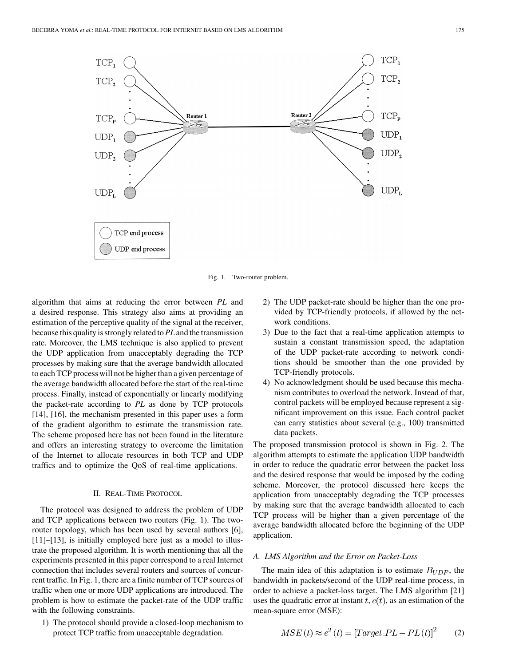

Fig. 1. Two-router problem.

algorithm that aims at reducing the error between *PL* and a desired response. This strategy also aims at providing an estimation of the perceptive quality of the signal at the receiver, because this quality is strongly related to*PL* and the transmission rate. Moreover, the LMS technique is also applied to prevent the UDP application from unacceptably degrading the TCP processes by making sure that the average bandwidth allocated to each TCP process will not be higher than a given percentage of the average bandwidth allocated before the start of the real-time process. Finally, instead of exponentially or linearly modifying the packet-rate according to *PL* as done by TCP protocols [\[14](#page-9-0)], [[16\]](#page-9-0), the mechanism presented in this paper uses a form of the gradient algorithm to estimate the transmission rate. The scheme proposed here has not been found in the literature and offers an interesting strategy to overcome the limitation of the Internet to allocate resources in both TCP and UDP traffics and to optimize the QoS of real-time applications.

# II. REAL-TIME PROTOCOL

The protocol was designed to address the problem of UDP and TCP applications between two routers (Fig. 1). The two-router topology, which has been used by several authors [\[6](#page-9-0)], [\[11](#page-9-0)]–[[13\]](#page-9-0), is initially employed here just as a model to illustrate the proposed algorithm. It is worth mentioning that all the experiments presented in this paper correspond to a real Internet connection that includes several routers and sources of concurrent traffic. In Fig. 1, there are a finite number of TCP sources of traffic when one or more UDP applications are introduced. The problem is how to estimate the packet-rate of the UDP traffic with the following constraints.

1) The protocol should provide a closed-loop mechanism to protect TCP traffic from unacceptable degradation.

- 2) The UDP packet-rate should be higher than the one provided by TCP-friendly protocols, if allowed by the network conditions.
- 3) Due to the fact that a real-time application attempts to sustain a constant transmission speed, the adaptation of the UDP packet-rate according to network conditions should be smoother than the one provided by TCP-friendly protocols.
- 4) No acknowledgment should be used because this mechanism contributes to overload the network. Instead of that, control packets will be employed because represent a significant improvement on this issue. Each control packet can carry statistics about several (e.g., 100) transmitted data packets.

The proposed transmission protocol is shown in Fig. 2. The algorithm attempts to estimate the application UDP bandwidth in order to reduce the quadratic error between the packet loss and the desired response that would be imposed by the coding scheme. Moreover, the protocol discussed here keeps the application from unacceptably degrading the TCP processes by making sure that the average bandwidth allocated to each TCP process will be higher than a given percentage of the average bandwidth allocated before the beginning of the UDP application.

## *A. LMS Algorithm and the Error on Packet-Loss*

The main idea of this adaptation is to estimate  $B_{UDP}$ , the bandwidth in packets/second of the UDP real-time process, in order to achieve a packet-loss target. The LMS algorithm [[21\]](#page-9-0) uses the quadratic error at instant  $t$ ,  $e(t)$ , as an estimation of the mean-square error (MSE):

$$
MSE(t) \approx e^2(t) = [Target\_PL - PL(t)]^2 \tag{2}
$$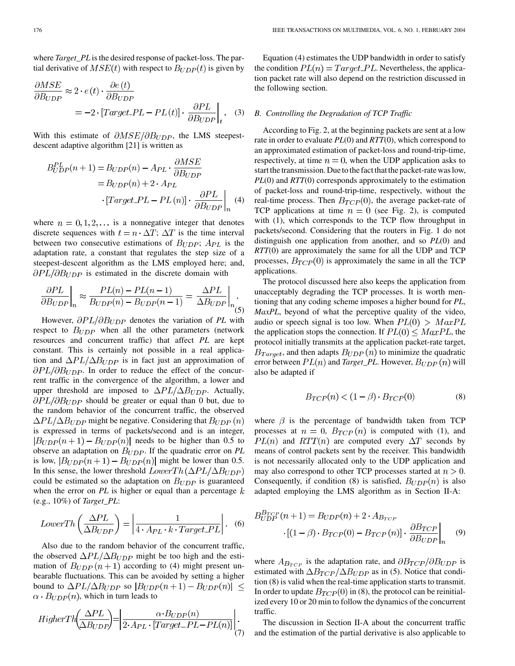where *Target\_PL* is the desired response of packet-loss. The partial derivative of  $MSE(t)$  with respect to  $B_{UDP}(t)$  is given by

$$
\frac{\partial MSE}{\partial B_{UDP}} \approx 2 \cdot e(t) \cdot \frac{\partial e(t)}{\partial B_{UDP}}\n= -2 \cdot [Target\_PL - PL(t)] \cdot \frac{\partial PL}{\partial B_{UDP}}\bigg|_{t}.
$$
 (3)

With this estimate of  $\partial MSE/\partial B_{UDP}$ , the LMS steepestdescent adaptive algorithm [[21\]](#page-9-0) is written as

$$
B_{UDP}^{PL}(n+1) = B_{UDP}(n) - A_{PL} \cdot \frac{\partial MSE}{\partial B_{UDP}}
$$
  
=  $B_{UDP}(n) + 2 \cdot A_{PL}$   

$$
\cdot [Target\_PL - PL(n)] \cdot \frac{\partial PL}{\partial B_{UDP}}\Big|_{n}
$$
 (4)

where  $n = 0, 1, 2, \dots$  is a nonnegative integer that denotes discrete sequences with  $t = n \cdot \Delta T$ ;  $\Delta T$  is the time interval between two consecutive estimations of  $B_{UDP}$ ;  $A_{PL}$  is the adaptation rate, a constant that regulates the step size of a steepest-descent algorithm as the LMS employed here; and,  $\partial PL/\partial B_{UDP}$  is estimated in the discrete domain with

$$
\frac{\partial PL}{\partial B_{UDP}}\bigg|_n \approx \frac{PL(n) - PL(n-1)}{B_{UDP}(n) - B_{UDP}(n-1)} = \frac{\Delta PL}{\Delta B_{UDP}}\bigg|_n.
$$
\n(5)

However,  $\partial PL/\partial B_{UDP}$  denotes the variation of PL with respect to  $B_{UDP}$  when all the other parameters (network resources and concurrent traffic) that affect *PL* are kept constant. This is certainly not possible in a real application and  $\Delta PL/\Delta B_{UDP}$  is in fact just an approximation of  $\partial PL/\partial B_{UDP}$ . In order to reduce the effect of the concurrent traffic in the convergence of the algorithm, a lower and upper threshold are imposed to  $\Delta PL/\Delta B_{UDP}$ . Actually,  $\partial PL/\partial B_{UDP}$  should be greater or equal than 0 but, due to the random behavior of the concurrent traffic, the observed  $\Delta PL/\Delta B_{UDP}$  might be negative. Considering that  $B_{UDP}(n)$ is expressed in terms of packets/second and is an integer,  $|B_{UDP}(n+1)-B_{UDP}(n)|$  needs to be higher than 0.5 to observe an adaptation on  $B_{UDP}$ . If the quadratic error on  $PL$ is low,  $|B_{UDP}(n+1)-B_{UDP}(n)|$  might be lower than 0.5. In this sense, the lower threshold  $LowerTh(\Delta PL/\Delta B_{UDP})$ could be estimated so the adaptation on  $B_{UDP}$  is guaranteed when the error on  $PL$  is higher or equal than a percentage  $k$ (e.g., 10%) of *Target\_PL*:

$$
LowerTh\left(\frac{\Delta PL}{\Delta B_{UDP}}\right) = \left|\frac{1}{4 \cdot A_{PL} \cdot k \cdot Target\_PL}\right|.
$$
 (6)

Also due to the random behavior of the concurrent traffic, the observed  $\Delta PL/\Delta B_{UDP}$  might be too high and the estimation of  $B_{UDP}(n+1)$  according to (4) might present unbearable fluctuations. This can be avoided by setting a higher bound to  $\Delta PL/\Delta B_{UDP}$  so  $|B_{UDP}(n+1) - B_{UDP}(n)| \le$  $\alpha \cdot B_{UDP}(n)$ , which in turn leads to

$$
HigherTh\left(\frac{\Delta PL}{\Delta B_{UDP}}\right) = \left|\frac{\alpha \cdot B_{UDP}(n)}{2 \cdot A_{PL} \cdot [Target\_PL - PL(n)]}\right|_{(7)}
$$

Equation (4) estimates the UDP bandwidth in order to satisfy the condition  $PL(n) = Target\_PL$ . Nevertheless, the application packet rate will also depend on the restriction discussed in the following section.

## *B. Controlling the Degradation of TCP Traffic*

According to Fig. 2, at the beginning packets are sent at a low rate in order to evaluate *PL*(0) and *RTT*(0), which correspond to an approximated estimation of packet-loss and round-trip-time, respectively, at time  $n = 0$ , when the UDP application asks to start the transmission. Due to the fact that the packet-rate was low, *PL*(0) and *RTT*(0) corresponds approximately to the estimation of packet-loss and round-trip-time, respectively, without the real-time process. Then  $B_{TCP}(0)$ , the average packet-rate of TCP applications at time  $n = 0$  (see Fig. 2), is computed with (1), which corresponds to the TCP flow throughput in packets/second. Considering that the routers in Fig. 1 do not distinguish one application from another, and so *PL*(0) and *RTT*(0) are approximately the same for all the UDP and TCP processes,  $B_{TCP}(0)$  is approximately the same in all the TCP applications.

The protocol discussed here also keeps the application from unacceptably degrading the TCP processes. It is worth mentioning that any coding scheme imposes a higher bound for *PL*, *MaxPL*, beyond of what the perceptive quality of the video, audio or speech signal is too low. When  $PL(0) > MaxPL$ the application stops the connection. If  $PL(0) \leq MaxPL$ , the protocol initially transmits at the application packet-rate target,  $B_{Target}$ , and then adapts  $B_{UDP}(n)$  to minimize the quadratic error between  $PL(n)$  and *Target\_PL*. However,  $B_{UDP}(n)$  will also be adapted if

$$
B_{TCP}(n) < (1 - \beta) \cdot B_{TCP}(0) \tag{8}
$$

where  $\beta$  is the percentage of bandwidth taken from TCP processes at  $n = 0$ ,  $B_{TCP}(n)$  is computed with (1), and  $PL(n)$  and  $RTT(n)$  are computed every  $\Delta T$  seconds by means of control packets sent by the receiver. This bandwidth is not necessarily allocated only to the UDP application and may also correspond to other TCP processes started at  $n > 0$ . Consequently, if condition (8) is satisfied,  $B_{UDP}(n)$  is also adapted employing the LMS algorithm as in Section II-A:

$$
B_{UDP}^{B_{TCP}}(n+1) = B_{UDP}(n) + 2 \cdot A_{B_{TCP}} \\
\cdot [(1-\beta) \cdot B_{TCP}(0) - B_{TCP}(n)] \cdot \frac{\partial B_{TCP}}{\partial B_{UDP}}\Big|_{n} \quad (9)
$$

where  $A_{B_{TCP}}$  is the adaptation rate, and  $\partial B_{TCP}/\partial B_{UDP}$  is estimated with  $\Delta B_{TCP}/\Delta B_{UDP}$  as in (5). Notice that condition (8) is valid when the real-time application starts to transmit. In order to update  $B_{TCP}(0)$  in (8), the protocol can be reinitialized every 10 or 20 min to follow the dynamics of the concurrent traffic.

The discussion in Section II-A about the concurrent traffic and the estimation of the partial derivative is also applicable to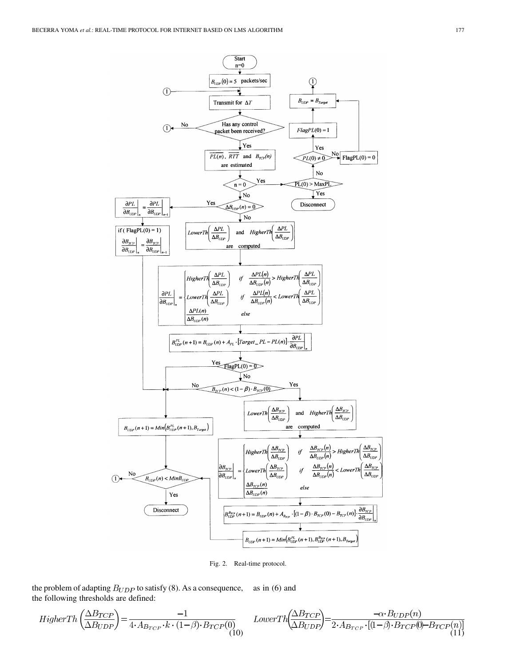

Fig. 2. Real-time protocol.

the problem of adapting  $B_{UDP}$  to satisfy (8). As a consequence, as in (6) and the following thresholds are defined:

$$
HigherTh\left(\frac{\Delta B_{TCP}}{\Delta B_{UDP}}\right) = \frac{-1}{4 \cdot A_{B_{TCP}} \cdot k \cdot (1-\beta) \cdot B_{TCP}(0)} \quad LowerTh\left(\frac{\Delta B_{TCP}}{\Delta B_{UDP}}\right) = \frac{-\alpha \cdot B_{UDP}(n)}{2 \cdot A_{B_{TCP}} \cdot [(1-\beta) \cdot B_{TCP}(0) - B_{TCP}(n)]}
$$
\n(11)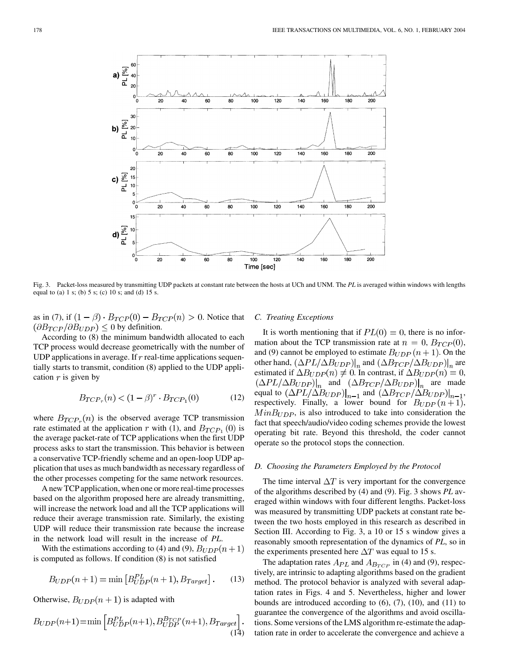

Fig. 3. Packet-loss measured by transmitting UDP packets at constant rate between the hosts at UCh and UNM. The *PL* is averaged within windows with lengths equal to (a) 1 s; (b) 5 s; (c) 10 s; and (d) 15 s.

as in (7), if  $(1 - \beta) \cdot B_{TCP}(0) - B_{TCP}(n) > 0$ . Notice that  $(\partial B_{TCP}/\partial B_{UDP}) \leq 0$  by definition.

According to (8) the minimum bandwidth allocated to each TCP process would decrease geometrically with the number of UDP applications in average. If  $r$  real-time applications sequentially starts to transmit, condition (8) applied to the UDP application  $r$  is given by

$$
B_{TCP_r}(n) < (1 - \beta)^r \cdot B_{TCP_1}(0) \tag{12}
$$

where  $B_{TCP_r}(n)$  is the observed average TCP transmission rate estimated at the application r with (1), and  $B_{TCP_1}(0)$  is the average packet-rate of TCP applications when the first UDP process asks to start the transmission. This behavior is between a conservative TCP-friendly scheme and an open-loop UDP application that uses as much bandwidth as necessary regardless of the other processes competing for the same network resources.

A new TCP application, when one or more real-time processes based on the algorithm proposed here are already transmitting, will increase the network load and all the TCP applications will reduce their average transmission rate. Similarly, the existing UDP will reduce their transmission rate because the increase in the network load will result in the increase of *PL*.

With the estimations according to (4) and (9),  $B_{UDP}(n+1)$ is computed as follows. If condition (8) is not satisfied

$$
B_{UDP}(n+1) = \min\left[B_{UDP}^{PL}(n+1), B_{Target}\right].
$$
 (13)

Otherwise,  $B_{UDP}(n + 1)$  is adapted with

$$
B_{UDP}(n+1) = \min\left[B_{UDP}^{PL}(n+1), B_{UDP}^{B_{TCP}}(n+1), B_{Target}\right].
$$
\n(14)

# *C. Treating Exceptions*

It is worth mentioning that if  $PL(0) = 0$ , there is no information about the TCP transmission rate at  $n = 0$ ,  $B_{TCP}(0)$ , and (9) cannot be employed to estimate  $B_{UDP}(n + 1)$ . On the other hand,  $(\Delta PL/\Delta B_{UDP})|_n$  and  $(\Delta B_{TCP}/\Delta B_{UDP})|_n$  are estimated if  $\Delta B_{UDP}(n) \neq 0$ . In contrast, if  $\Delta B_{UDP}(n) = 0$ ,  $(\Delta PL/\Delta B_{UDP})|_{n}$  and  $(\Delta B_{TCP}/\Delta B_{UDP})|_{n}$  are made equal to  $(\Delta PL/\Delta B_{UDP})|_{n-1}$  and  $(\Delta B_{TCP}/\Delta B_{UDP})|_{n-1}$ , respectively. Finally, a lower bound for  $B_{UDP}(n+1)$ ,  $MinB_{UDP}$ , is also introduced to take into consideration the fact that speech/audio/video coding schemes provide the lowest operating bit rate. Beyond this threshold, the coder cannot operate so the protocol stops the connection.

# *D. Choosing the Parameters Employed by the Protocol*

The time interval  $\Delta T$  is very important for the convergence of the algorithms described by (4) and (9). Fig. 3 shows *PL* averaged within windows with four different lengths. Packet-loss was measured by transmitting UDP packets at constant rate between the two hosts employed in this research as described in Section III. According to Fig. 3, a 10 or 15 s window gives a reasonably smooth representation of the dynamics of *PL*, so in the experiments presented here  $\Delta T$  was equal to 15 s.

The adaptation rates  $A_{PL}$  and  $A_{B_{TCP}}$  in (4) and (9), respectively, are intrinsic to adapting algorithms based on the gradient method. The protocol behavior is analyzed with several adaptation rates in Figs. 4 and 5. Nevertheless, higher and lower bounds are introduced according to  $(6)$ ,  $(7)$ ,  $(10)$ , and  $(11)$  to guarantee the convergence of the algorithms and avoid oscillations. Some versions of the LMS algorithm re-estimate the adaptation rate in order to accelerate the convergence and achieve a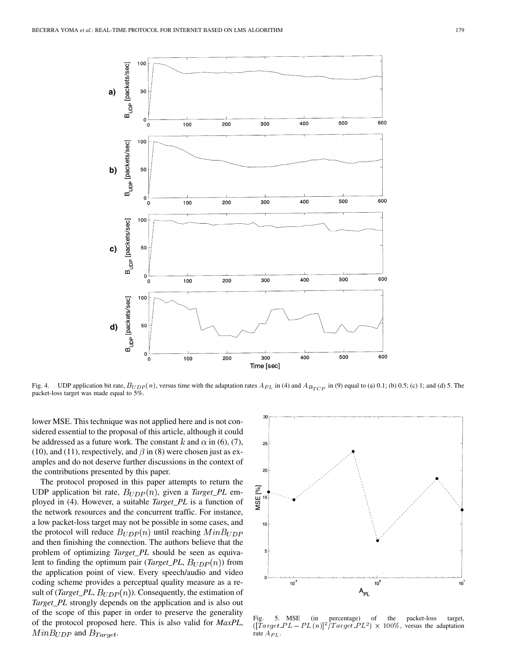

Fig. 4. UDP application bit rate,  $B_{UDP}(n)$ , versus time with the adaptation rates  $A_{PL}$  in (4) and  $A_{B_{TCP}}$  in (9) equal to (a) 0.1; (b) 0.5; (c) 1; and (d) 5. The packet-loss target was made equal to 5%.

lower MSE. This technique was not applied here and is not considered essential to the proposal of this article, although it could be addressed as a future work. The constant k and  $\alpha$  in (6), (7), (10), and (11), respectively, and  $\beta$  in (8) were chosen just as examples and do not deserve further discussions in the context of the contributions presented by this paper.

The protocol proposed in this paper attempts to return the UDP application bit rate,  $B_{UDP}(n)$ , given a *Target\_PL* employed in (4). However, a suitable *Target\_PL* is a function of the network resources and the concurrent traffic. For instance, a low packet-loss target may not be possible in some cases, and the protocol will reduce  $B_{UDP}(n)$  until reaching  $MinB_{UDP}$ and then finishing the connection. The authors believe that the problem of optimizing *Target\_PL* should be seen as equivalent to finding the optimum pair (*Target\_PL*,  $B_{UDP}(n)$ ) from the application point of view. Every speech/audio and video coding scheme provides a perceptual quality measure as a result of (*Target\_PL*,  $B_{UDP}(n)$ ). Consequently, the estimation of *Target\_PL* strongly depends on the application and is also out of the scope of this paper in order to preserve the generality of the protocol proposed here. This is also valid for *MaxPL*,  $MinB_{UDP}$  and  $B_{Target}$ .



Fig. 5. MSE (in percentage) of the packet-loss target,  $([Target\_PL - PL(n)]^2 / Target\_PL^2) \times 100\%$ , versus the adaptation rate  $A_{PL}$ .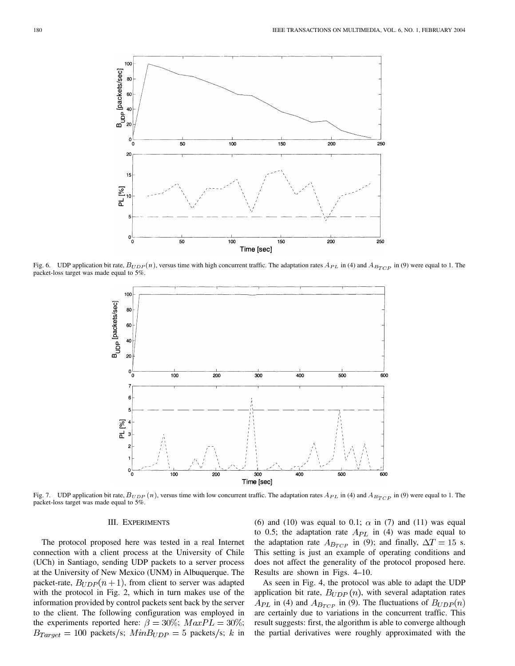

Fig. 6. UDP application bit rate,  $B_{UDP}(n)$ , versus time with high concurrent traffic. The adaptation rates  $A_{PL}$  in (4) and  $A_{B_{TCP}}$  in (9) were equal to 1. The packet-loss target was made equal to 5%.



Fig. 7. UDP application bit rate,  $B_{UDP}(n)$ , versus time with low concurrent traffic. The adaptation rates  $A_{PL}$  in (4) and  $A_{B_{TCP}}$  in (9) were equal to 1. The packet-loss target was made equal to 5%.

# III. EXPERIMENTS

The protocol proposed here was tested in a real Internet connection with a client process at the University of Chile (UCh) in Santiago, sending UDP packets to a server process at the University of New Mexico (UNM) in Albuquerque. The packet-rate,  $B_{UDP}(n + 1)$ , from client to server was adapted with the protocol in Fig. 2, which in turn makes use of the information provided by control packets sent back by the server to the client. The following configuration was employed in the experiments reported here:  $\beta = 30\%$ ;  $MaxPL = 30\%$ ;  $B_{Target} = 100$  packets/s;  $MinB_{UDP} = 5$  packets/s; k in (6) and (10) was equal to 0.1;  $\alpha$  in (7) and (11) was equal to 0.5; the adaptation rate  $A_{PL}$  in (4) was made equal to the adaptation rate  $A_{B_{TCP}}$  in (9); and finally,  $\Delta T = 15$  s. This setting is just an example of operating conditions and does not affect the generality of the protocol proposed here. Results are shown in Figs. 4–10.

As seen in Fig. 4, the protocol was able to adapt the UDP application bit rate,  $B_{UDP}(n)$ , with several adaptation rates  $A_{PL}$  in (4) and  $A_{B_{TCP}}$  in (9). The fluctuations of  $B_{UDP}(n)$ are certainly due to variations in the concurrent traffic. This result suggests: first, the algorithm is able to converge although the partial derivatives were roughly approximated with the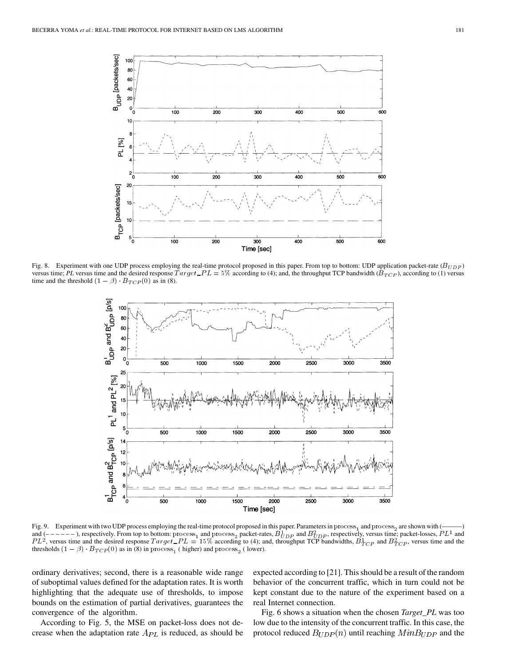

Fig. 8. Experiment with one UDP process employing the real-time protocol proposed in this paper. From top to bottom: UDP application packet-rate  $(B_{UDP})$ Fig. 8. Experiment with one UDP process employing the real-time protocol proposed in this paper. From top to bottom: UDP application packet-rate ( $B_{UDP}$ ) versus time; *PL* versus time and the desired response  $Target\_PL = 5\%$ 



Fig. 9. Experiment with two UDP process employing the real-time protocol proposed in this paper. Parameters in process<sub>1</sub> and process<sub>2</sub> are shown with (and  $(----)$ , respectively. From top to bottom: process<sub>1</sub> and process<sub>2</sub> packet-rates,  $B_{UDP}^1$  and  $B_{UDP}^2$ , respectively, versus time; packet-losses,  $PL^1$  and and  $(----)$ , respectively. From top to bottom: process<sub>1</sub> and process<sub>2</sub> packet-rates,  $B_{UDP}^+$  and  $B_{UDP}^+$ , respectively, versus time; packet-losses,  $PL^+$  and  $PL^2$ , versus time and the desired response  $Target\_PL = 15\%$  acc

ordinary derivatives; second, there is a reasonable wide range of suboptimal values defined for the adaptation rates. It is worth highlighting that the adequate use of thresholds, to impose bounds on the estimation of partial derivatives, guarantees the convergence of the algorithm.

According to Fig. 5, the MSE on packet-loss does not decrease when the adaptation rate  $A_{PL}$  is reduced, as should be expected according to [[21\]](#page-9-0). This should be a result of the random behavior of the concurrent traffic, which in turn could not be kept constant due to the nature of the experiment based on a real Internet connection.

Fig. 6 shows a situation when the chosen *Target\_PL* was too low due to the intensity of the concurrent traffic. In this case, the protocol reduced  $B_{UDP}(n)$  until reaching  $MinB_{UDP}$  and the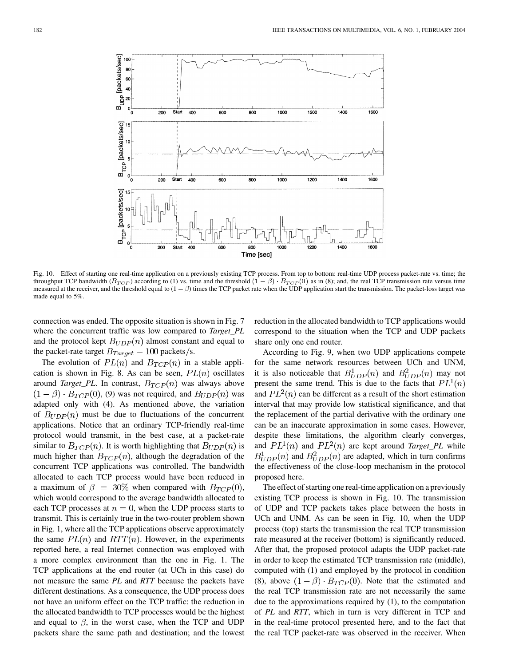

Fig. 10. Effect of starting one real-time application on a previously existing TCP process. From top to bottom: real-time UDP process packet-rate vs. time; the throughput TCP bandwidth ( $B_{TCP}$ ) according to (1) vs. time a throughput TCP bandwidth  $(B_{TCP})$  according to (1) vs. time and the threshold  $(1 - \beta) \cdot B_{TCP}(0)$  as in (8); and, the real TCP transmission rate versus time measured at the receiver, and the threshold equal to  $(1 - \beta)$  times made equal to 5%.

connection was ended. The opposite situation is shown in Fig. 7 where the concurrent traffic was low compared to *Target\_PL* and the protocol kept  $B_{UDP}(n)$  almost constant and equal to the packet-rate target  $B_{Target} = 100$  packets/s.

The evolution of  $PL(n)$  and  $B_{TCP}(n)$  in a stable application is shown in Fig. 8. As can be seen,  $PL(n)$  oscillates around *Target\_PL*. In contrast,  $B_{TCP}(n)$  was always above  $(1 - \beta) \cdot B_{TCP}(0)$ , (9) was not required, and  $B_{UDP}(n)$  was adapted only with (4). As mentioned above, the variation of  $B_{UDP}(n)$  must be due to fluctuations of the concurrent applications. Notice that an ordinary TCP-friendly real-time protocol would transmit, in the best case, at a packet-rate similar to  $B_{TCP}(n)$ . It is worth highlighting that  $B_{UDP}(n)$  is much higher than  $B_{TCP}(n)$ , although the degradation of the concurrent TCP applications was controlled. The bandwidth allocated to each TCP process would have been reduced in a maximum of  $\beta = 30\%$  when compared with  $B_{TCP}(0)$ , which would correspond to the average bandwidth allocated to each TCP processes at  $n = 0$ , when the UDP process starts to transmit. This is certainly true in the two-router problem shown in Fig. 1, where all the TCP applications observe approximately the same  $PL(n)$  and  $RTT(n)$ . However, in the experiments reported here, a real Internet connection was employed with a more complex environment than the one in Fig. 1. The TCP applications at the end router (at UCh in this case) do not measure the same *PL* and *RTT* because the packets have different destinations. As a consequence, the UDP process does not have an uniform effect on the TCP traffic: the reduction in the allocated bandwidth to TCP processes would be the highest and equal to  $\beta$ , in the worst case, when the TCP and UDP packets share the same path and destination; and the lowest reduction in the allocated bandwidth to TCP applications would correspond to the situation when the TCP and UDP packets share only one end router.

According to Fig. 9, when two UDP applications compete for the same network resources between UCh and UNM, it is also noticeable that  $B_{UDP}^1(n)$  and  $B_{UDP}^2(n)$  may not present the same trend. This is due to the facts that  $PL^1(n)$ and  $PL^2(n)$  can be different as a result of the short estimation interval that may provide low statistical significance, and that the replacement of the partial derivative with the ordinary one can be an inaccurate approximation in some cases. However, despite these limitations, the algorithm clearly converges, and  $PL^1(n)$  and  $PL^2(n)$  are kept around *Target\_PL* while  $B_{UDP}^1(n)$  and  $B_{UDP}^2(n)$  are adapted, which in turn confirms the effectiveness of the close-loop mechanism in the protocol proposed here.

The effect of starting one real-time application on a previously existing TCP process is shown in Fig. 10. The transmission of UDP and TCP packets takes place between the hosts in UCh and UNM. As can be seen in Fig. 10, when the UDP process (top) starts the transmission the real TCP transmission rate measured at the receiver (bottom) is significantly reduced. After that, the proposed protocol adapts the UDP packet-rate in order to keep the estimated TCP transmission rate (middle), computed with (1) and employed by the protocol in condition (8), above  $(1 - \beta) \cdot B_{TCP}(0)$ . Note that the estimated and the real TCP transmission rate are not necessarily the same due to the approximations required by (1), to the computation of *PL* and *RTT*, which in turn is very different in TCP and in the real-time protocol presented here, and to the fact that the real TCP packet-rate was observed in the receiver. When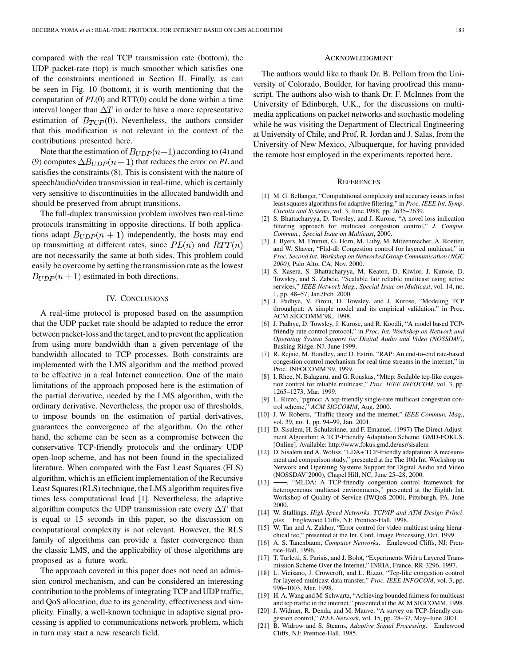<span id="page-9-0"></span>compared with the real TCP transmission rate (bottom), the UDP packet-rate (top) is much smoother which satisfies one of the constraints mentioned in Section II. Finally, as can be seen in Fig. 10 (bottom), it is worth mentioning that the computation of *PL*(0) and RTT(0) could be done within a time interval longer than  $\Delta T$  in order to have a more representative estimation of  $B_{TCP}(0)$ . Nevertheless, the authors consider that this modification is not relevant in the context of the contributions presented here.

Note that the estimation of  $B_{UDP}(n+1)$  according to (4) and (9) computes  $\Delta B_{UDP}(n+1)$  that reduces the error on *PL* and satisfies the constraints (8). This is consistent with the nature of speech/audio/video transmission in real-time, which is certainly very sensitive to discontinuities in the allocated bandwidth and should be preserved from abrupt transitions.

The full-duplex transmission problem involves two real-time protocols transmitting in opposite directions. If both applications adapt  $B_{UDP}(n + 1)$  independently, the hosts may end up transmitting at different rates, since  $PL(n)$  and  $RTT(n)$ are not necessarily the same at both sides. This problem could easily be overcome by setting the transmission rate as the lowest  $B_{UDP}(n+1)$  estimated in both directions.

#### IV. CONCLUSIONS

A real-time protocol is proposed based on the assumption that the UDP packet rate should be adapted to reduce the error between packet-loss and the target, and to prevent the application from using more bandwidth than a given percentage of the bandwidth allocated to TCP processes. Both constraints are implemented with the LMS algorithm and the method proved to be effective in a real Internet connection. One of the main limitations of the approach proposed here is the estimation of the partial derivative, needed by the LMS algorithm, with the ordinary derivative. Nevertheless, the proper use of thresholds, to impose bounds on the estimation of partial derivatives, guarantees the convergence of the algorithm. On the other hand, the scheme can be seen as a compromise between the conservative TCP-friendly protocols and the ordinary UDP open-loop scheme, and has not been found in the specialized literature. When compared with the Fast Least Squares (FLS) algorithm, which is an efficient implementation of the Recursive Least Squares (RLS) technique, the LMS algorithm requires five times less computational load [1]. Nevertheless, the adaptive algorithm computes the UDP transmission rate every  $\Delta T$  that is equal to 15 seconds in this paper, so the discussion on computational complexity is not relevant. However, the RLS family of algorithms can provide a faster convergence than the classic LMS, and the applicability of those algorithms are proposed as a future work.

The approach covered in this paper does not need an admission control mechanism, and can be considered an interesting contribution to the problems of integrating TCP and UDP traffic, and QoS allocation, due to its generality, effectiveness and simplicity. Finally, a well-known technique in adaptive signal processing is applied to communications network problem, which in turn may start a new research field.

## ACKNOWLEDGMENT

The authors would like to thank Dr. B. Pellom from the University of Colorado, Boulder, for having proofread this manuscript. The authors also wish to thank Dr. F. McInnes from the University of Edinburgh, U.K., for the discussions on multimedia applications on packet networks and stochastic modeling while he was visiting the Department of Electrical Engineering at University of Chile, and Prof. R. Jordan and J. Salas, from the University of New Mexico, Albuquerque, for having provided the remote host employed in the experiments reported here.

#### **REFERENCES**

- [1] M. G. Bellanger, "Computational complexity and accuracy issues in fast least squares algorithms for adaptive filtering," in *Proc. IEEE Int. Symp. Circuits and Systems*, vol. 3, June 1988, pp. 2635–2639.
- [2] S. Bhattacharyya, D. Towsley, and J. Kurose, "A novel loss indication filtering approach for multicast congestion control," *J. Comput. Commun., Special Issue on Multicast*, 2000.
- [3] J. Byers, M. Frumin, G. Horn, M. Luby, M. Mitzenmacher, A. Roetter, and W. Shaver, "Flid-dl: Congestion control for layered multicast," in *Proc. Second Int. Workshop on Networked Group Communication (NGC 2000)*, Palo Alto, CA, Nov. 2000.
- [4] S. Kasera, S. Bhattacharyya, M. Keaton, D. Kiwior, J. Kurose, D. Towsley, and S. Zabele, "Scalable fair reliable mulitcast using active services," *IEEE Network Mag., Special Issue on Multicast*, vol. 14, no. 1, pp. 48–57, Jan./Feb. 2000.
- [5] J. Padhye, V. Firoiu, D. Towsley, and J. Kurose, "Modeling TCP throughput: A simple model and its empirical validation," in Proc. ACM SIGCOMM'98,, 1998.
- [6] J. Padhye, D. Towsley, J. Kurose, and R. Koodli, "A model based TCPfriendly rate control protocol," in *Proc. Int. Workshop on Network and Operating System Support for Digital Audio and Video (NOSSDAV)*, Basking Ridge, NJ, June 1999.
- [7] R. Rejaie, M. Handley, and D. Estrin, "RAP: An end-to-end rate-based congestion control mechanism for real time streams in the internet," in Proc. INFOCOMM'99, 1999.
- [8] I. Rhee, N. Balaguru, and G. Rouskas, "Mtcp: Scalable tcp-like congestion control for reliable multicast," *Proc. IEEE INFOCOM*, vol. 3, pp. 1265–1273, Mar. 1999.
- [9] L. Rizzo, "pgmcc: A tcp-friendly single-rate multicast congestion control scheme," *ACM SIGCOMM*, Aug. 2000.
- [10] J. W. Roberts, "Traffic theory and the internet," *IEEE Commun. Mag.*, vol. 39, no. 1, pp. 94–99, Jan. 2001.
- [11] D. Sisalem, H. Schulzrinne, and F. Emanuel. (1997) The Direct Adjustment Algorithm: A TCP-Friendly Adaptation Scheme. GMD-FOKUS. [Online]. Available: http://www.fokus.gmd.de/usr/sisalem
- [12] D. Sisalem and A. Wolisz, "LDA+ TCP-friendly adaptation: A measurement and comparison study," presented at the The 10th Int. Workshop on Network and Operating Systems Support for Digital Audio and Video (NOSSDAV'2000), Chapel Hill, NC, June 25–28, 2000.
- [13] -, "MLDA: A TCP-friendly congestion control framework for heterogeneous multicast environments," presented at the Eighth Int. Workshop of Quality of Service (IWQoS 2000), Pittsburgh, PA, June 2000.
- [14] W. Stallings, *High-Speed Networks. TCP/IP and ATM Design Principles*. Englewood Cliffs, NJ: Prentice-Hall, 1998.
- [15] W. Tan and A. Zakhor, "Error control for video multicast using hierarchical fec," presented at the Int. Conf. Image Processing, Oct. 1999.
- [16] A. S. Tanenbaum, *Computer Networks*. Englewood Cliffs, NJ: Prentice-Hall, 1996.
- [17] T. Turletti, S. Parisis, and J. Bolot, "Experiments With a Layered Transmission Scheme Over the Internet," INRIA, France, RR-3296, 1997.
- [18] L. Vicisano, J. Crowcroft, and L. Rizzo, "Tcp-like congestion control for layered multicast data transfer," *Proc. IEEE INFOCOM*, vol. 3, pp. 996–1003, Mar. 1998.
- [19] H. A. Wang and M. Schwartz, "Achieving bounded fairness for multicast and tcp traffic in the internet," presented at the ACM SIGCOMM, 1998.
- [20] J. Widmer, R. Denda, and M. Mauve, "A survey on TCP-friendly congestion control," *IEEE Network*, vol. 15, pp. 28–37, May–June 2001.
- [21] B. Widrow and S. Stearns, *Adaptive Signal Processing*. Englewood Cliffs, NJ: Prentice-Hall, 1985.